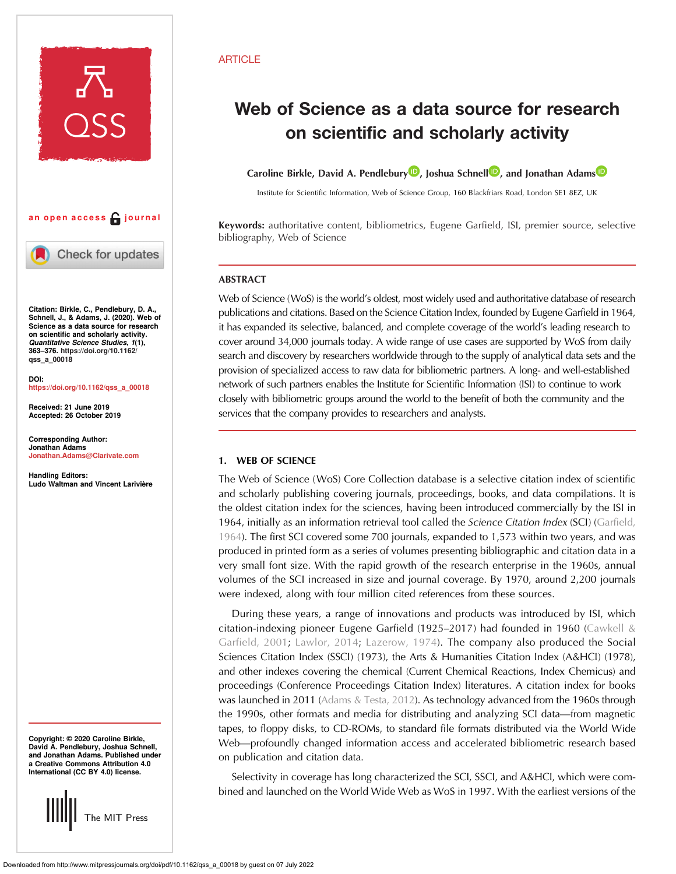



Check for updates

Citation: Birkle, C., Pendlebury, D. A., Schnell, J., & Adams, J. (2020). Web of Science as a data source for research on scientific and scholarly activity. Quantitative Science Studies, 1(1), 363–376. [https://doi.org/10.1162/](https://doi.org/10.1162/qss_a_00018) [qss\\_a\\_00018](https://doi.org/10.1162/qss_a_00018)

DOI: [https://doi.org/10.1162/qss\\_a\\_00018](https://doi.org/10.1162/qss_a_00018)

Received: 21 June 2019 Accepted: 26 October 2019

Corresponding Author: Jonathan Adams [Jonathan.Adams@Clarivate.com](mailto:Jonathan.Adams@Clarivate.com)

Handling Editors: Ludo Waltman and Vincent Larivière

Copyright: © 2020 Caroline Birkle, David A. Pendlebury, Joshua Schnell, and Jonathan Adams. Published under a Creative Commons Attribution 4.0 International (CC BY 4.0) license.



# **ARTICLE**

# Web of Science as a data source for research on scientific and scholarly activity

Caroline Birkle, David A. Pendlebury  $\mathbf{D}$ , Joshua Schnell  $\mathbf{D}$ , and Jonathan Adams  $\mathbf{D}$ 

Institute for Scientific Information, Web of Science Group, 160 Blackfriars Road, London SE1 8EZ, UK

Keywords: authoritative content, bibliometrics, Eugene Garfield, ISI, premier source, selective bibliography, Web of Science

# ABSTRACT

Web of Science (WoS) is the world's oldest, most widely used and authoritative database of research publications and citations. Based on the Science Citation Index, founded by Eugene Garfield in 1964, it has expanded its selective, balanced, and complete coverage of the world's leading research to cover around 34,000 journals today. A wide range of use cases are supported by WoS from daily search and discovery by researchers worldwide through to the supply of analytical data sets and the provision of specialized access to raw data for bibliometric partners. A long- and well-established network of such partners enables the Institute for Scientific Information (ISI) to continue to work closely with bibliometric groups around the world to the benefit of both the community and the services that the company provides to researchers and analysts.

# 1. WEB OF SCIENCE

The Web of Science (WoS) Core Collection database is a selective citation index of scientific and scholarly publishing covering journals, proceedings, books, and data compilations. It is the oldest citation index for the sciences, having been introduced commercially by the ISI in 1964, initially as an information retrieval tool called the Science Citation Index (SCI) ([Garfield,](#page-13-0) [1964\)](#page-13-0). The first SCI covered some 700 journals, expanded to 1,573 within two years, and was produced in printed form as a series of volumes presenting bibliographic and citation data in a very small font size. With the rapid growth of the research enterprise in the 1960s, annual volumes of the SCI increased in size and journal coverage. By 1970, around 2,200 journals were indexed, along with four million cited references from these sources.

During these years, a range of innovations and products was introduced by ISI, which citation-indexing pioneer Eugene Garfield (1925–2017) had founded in 1960 ([Cawkell &](#page-12-0) [Garfield, 2001;](#page-12-0) [Lawlor, 2014;](#page-13-0) [Lazerow, 1974](#page-13-0)). The company also produced the Social Sciences Citation Index (SSCI) (1973), the Arts & Humanities Citation Index (A&HCI) (1978), and other indexes covering the chemical (Current Chemical Reactions, Index Chemicus) and proceedings (Conference Proceedings Citation Index) literatures. A citation index for books was launched in 2011 [\(Adams & Testa, 2012\)](#page-12-0). As technology advanced from the 1960s through the 1990s, other formats and media for distributing and analyzing SCI data—from magnetic tapes, to floppy disks, to CD-ROMs, to standard file formats distributed via the World Wide Web—profoundly changed information access and accelerated bibliometric research based on publication and citation data.

Selectivity in coverage has long characterized the SCI, SSCI, and A&HCI, which were combined and launched on the World Wide Web as WoS in 1997. With the earliest versions of the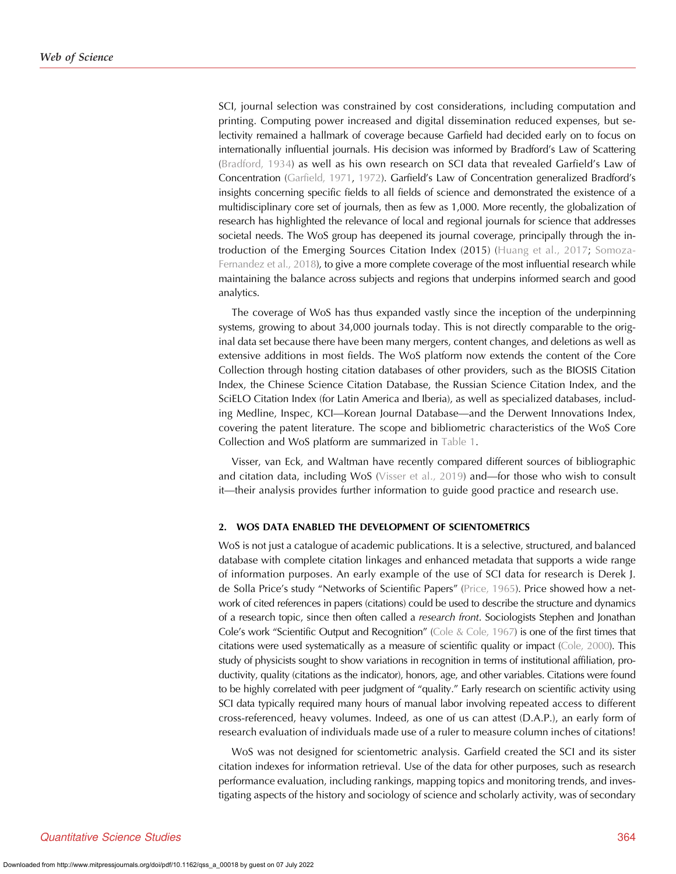SCI, journal selection was constrained by cost considerations, including computation and printing. Computing power increased and digital dissemination reduced expenses, but selectivity remained a hallmark of coverage because Garfield had decided early on to focus on internationally influential journals. His decision was informed by Bradford's Law of Scattering ([Bradford, 1934](#page-12-0)) as well as his own research on SCI data that revealed Garfield's Law of Concentration [\(Garfield, 1971,](#page-13-0) [1972](#page-13-0)). Garfield's Law of Concentration generalized Bradford's insights concerning specific fields to all fields of science and demonstrated the existence of a multidisciplinary core set of journals, then as few as 1,000. More recently, the globalization of research has highlighted the relevance of local and regional journals for science that addresses societal needs. The WoS group has deepened its journal coverage, principally through the introduction of the Emerging Sources Citation Index (2015) ([Huang et al., 2017;](#page-13-0) [Somoza-](#page-13-0)[Fernandez et al., 2018\)](#page-13-0), to give a more complete coverage of the most influential research while maintaining the balance across subjects and regions that underpins informed search and good analytics.

The coverage of WoS has thus expanded vastly since the inception of the underpinning systems, growing to about 34,000 journals today. This is not directly comparable to the original data set because there have been many mergers, content changes, and deletions as well as extensive additions in most fields. The WoS platform now extends the content of the Core Collection through hosting citation databases of other providers, such as the BIOSIS Citation Index, the Chinese Science Citation Database, the Russian Science Citation Index, and the SciELO Citation Index (for Latin America and Iberia), as well as specialized databases, including Medline, Inspec, KCI—Korean Journal Database—and the Derwent Innovations Index, covering the patent literature. The scope and bibliometric characteristics of the WoS Core Collection and WoS platform are summarized in [Table 1.](#page-2-0)

Visser, van Eck, and Waltman have recently compared different sources of bibliographic and citation data, including WoS [\(Visser et al., 2019\)](#page-13-0) and—for those who wish to consult it—their analysis provides further information to guide good practice and research use.

## 2. WOS DATA ENABLED THE DEVELOPMENT OF SCIENTOMETRICS

WoS is not just a catalogue of academic publications. It is a selective, structured, and balanced database with complete citation linkages and enhanced metadata that supports a wide range of information purposes. An early example of the use of SCI data for research is Derek J. de Solla Price's study "Networks of Scientific Papers" [\(Price, 1965\)](#page-13-0). Price showed how a network of cited references in papers (citations) could be used to describe the structure and dynamics of a research topic, since then often called a research front. Sociologists Stephen and Jonathan Cole's work "Scientific Output and Recognition" (Cole  $\&$  Cole, 1967) is one of the first times that citations were used systematically as a measure of scientific quality or impact [\(Cole, 2000](#page-12-0)). This study of physicists sought to show variations in recognition in terms of institutional affiliation, productivity, quality (citations as the indicator), honors, age, and other variables. Citations were found to be highly correlated with peer judgment of "quality." Early research on scientific activity using SCI data typically required many hours of manual labor involving repeated access to different cross-referenced, heavy volumes. Indeed, as one of us can attest (D.A.P.), an early form of research evaluation of individuals made use of a ruler to measure column inches of citations!

WoS was not designed for scientometric analysis. Garfield created the SCI and its sister citation indexes for information retrieval. Use of the data for other purposes, such as research performance evaluation, including rankings, mapping topics and monitoring trends, and investigating aspects of the history and sociology of science and scholarly activity, was of secondary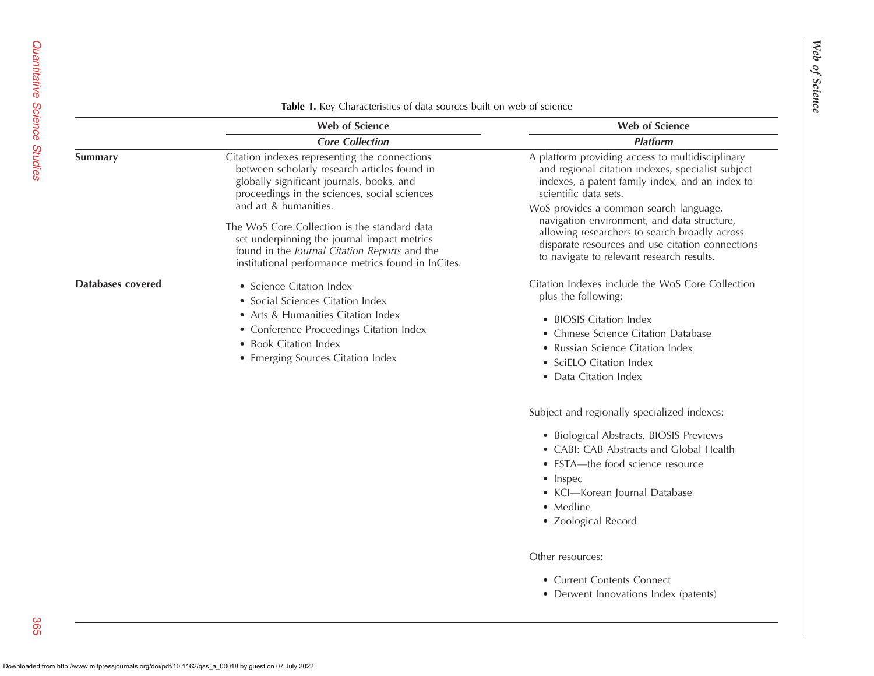<span id="page-2-0"></span>

|                   | <b>Web of Science</b>                                                                                                                                                                                                                                                                                                                                                                                                      | <b>Web of Science</b>                                                                                                                                                                                                                                                                                                                                                                                                        |  |
|-------------------|----------------------------------------------------------------------------------------------------------------------------------------------------------------------------------------------------------------------------------------------------------------------------------------------------------------------------------------------------------------------------------------------------------------------------|------------------------------------------------------------------------------------------------------------------------------------------------------------------------------------------------------------------------------------------------------------------------------------------------------------------------------------------------------------------------------------------------------------------------------|--|
|                   | <b>Core Collection</b>                                                                                                                                                                                                                                                                                                                                                                                                     | <b>Platform</b>                                                                                                                                                                                                                                                                                                                                                                                                              |  |
| Summary           | Citation indexes representing the connections<br>between scholarly research articles found in<br>globally significant journals, books, and<br>proceedings in the sciences, social sciences<br>and art & humanities.<br>The WoS Core Collection is the standard data<br>set underpinning the journal impact metrics<br>found in the Journal Citation Reports and the<br>institutional performance metrics found in InCites. | A platform providing access to multidisciplinary<br>and regional citation indexes, specialist subject<br>indexes, a patent family index, and an index to<br>scientific data sets.<br>WoS provides a common search language,<br>navigation environment, and data structure,<br>allowing researchers to search broadly across<br>disparate resources and use citation connections<br>to navigate to relevant research results. |  |
| Databases covered | • Science Citation Index<br>• Social Sciences Citation Index<br>• Arts & Humanities Citation Index<br>• Conference Proceedings Citation Index<br>• Book Citation Index<br>• Emerging Sources Citation Index                                                                                                                                                                                                                | Citation Indexes include the WoS Core Collection<br>plus the following:<br>• BIOSIS Citation Index<br>• Chinese Science Citation Database<br>• Russian Science Citation Index<br>• SciELO Citation Index<br>• Data Citation Index                                                                                                                                                                                            |  |
|                   |                                                                                                                                                                                                                                                                                                                                                                                                                            | Subject and regionally specialized indexes:                                                                                                                                                                                                                                                                                                                                                                                  |  |
|                   |                                                                                                                                                                                                                                                                                                                                                                                                                            | · Biological Abstracts, BIOSIS Previews<br>• CABI: CAB Abstracts and Global Health<br>• FSTA—the food science resource<br>$\bullet$ Inspec                                                                                                                                                                                                                                                                                   |  |

## **Table 1.** Key Characteristics of data sources built on web of science

- KCI—Korean Journal Database
- Medline
- Zoological Record

Other resources:

- Current Contents Connect
- Derwent Innovations Index (patents)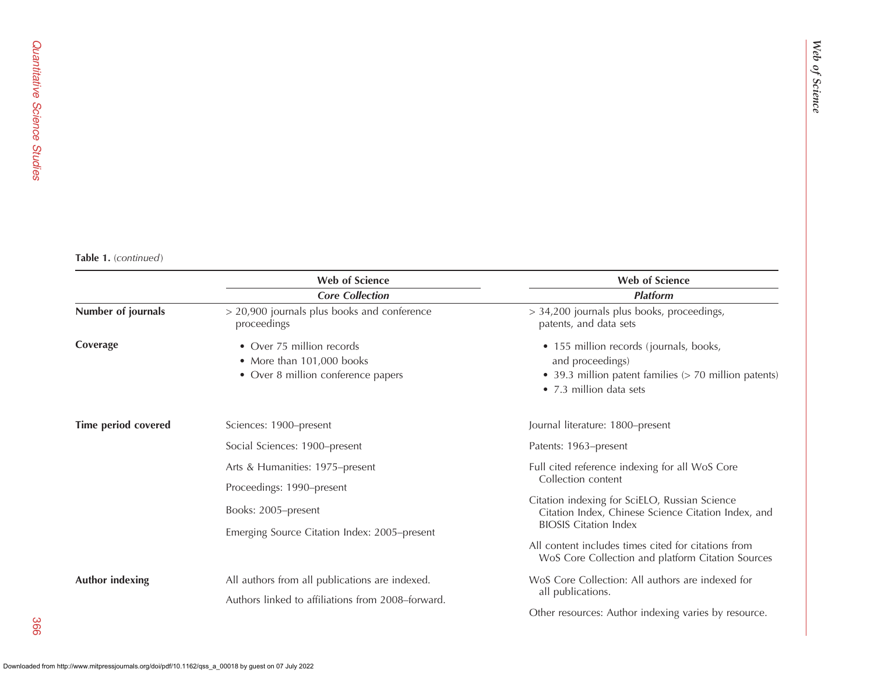|                            | <b>Web of Science</b>                                                                               | <b>Web of Science</b><br><b>Platform</b>                                                                                                                                                                                                                                                                                 |  |
|----------------------------|-----------------------------------------------------------------------------------------------------|--------------------------------------------------------------------------------------------------------------------------------------------------------------------------------------------------------------------------------------------------------------------------------------------------------------------------|--|
|                            | <b>Core Collection</b>                                                                              |                                                                                                                                                                                                                                                                                                                          |  |
| Number of journals         | > 20,900 journals plus books and conference<br>proceedings                                          | > 34,200 journals plus books, proceedings,<br>patents, and data sets                                                                                                                                                                                                                                                     |  |
| Coverage                   | • Over 75 million records<br>• More than 101,000 books<br>• Over 8 million conference papers        | • 155 million records (journals, books,<br>and proceedings)<br>• 39.3 million patent families (> 70 million patents)<br>• 7.3 million data sets                                                                                                                                                                          |  |
| <b>Time period covered</b> | Sciences: 1900-present                                                                              | Journal literature: 1800-present                                                                                                                                                                                                                                                                                         |  |
|                            | Social Sciences: 1900-present                                                                       | Patents: 1963-present                                                                                                                                                                                                                                                                                                    |  |
|                            | Arts & Humanities: 1975–present<br>Proceedings: 1990–present                                        | Full cited reference indexing for all WoS Core<br>Collection content<br>Citation indexing for SciELO, Russian Science<br>Citation Index, Chinese Science Citation Index, and<br><b>BIOSIS Citation Index</b><br>All content includes times cited for citations from<br>WoS Core Collection and platform Citation Sources |  |
|                            | Books: 2005-present                                                                                 |                                                                                                                                                                                                                                                                                                                          |  |
|                            | Emerging Source Citation Index: 2005-present                                                        |                                                                                                                                                                                                                                                                                                                          |  |
| <b>Author indexing</b>     | All authors from all publications are indexed.<br>Authors linked to affiliations from 2008–forward. | WoS Core Collection: All authors are indexed for<br>all publications.                                                                                                                                                                                                                                                    |  |
|                            |                                                                                                     | Other resources: Author indexing varies by resource.                                                                                                                                                                                                                                                                     |  |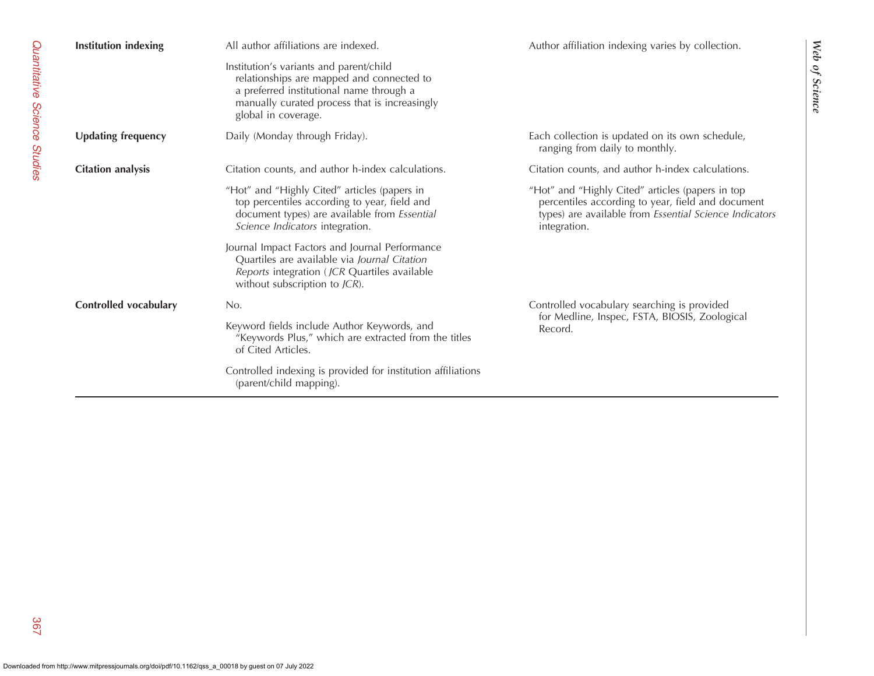| Institution indexing      | All author affiliations are indexed.                                                                                                                                                                     | Author affiliation indexing varies by collection.                                                                                                                               |  |
|---------------------------|----------------------------------------------------------------------------------------------------------------------------------------------------------------------------------------------------------|---------------------------------------------------------------------------------------------------------------------------------------------------------------------------------|--|
|                           | Institution's variants and parent/child<br>relationships are mapped and connected to<br>a preferred institutional name through a<br>manually curated process that is increasingly<br>global in coverage. |                                                                                                                                                                                 |  |
| <b>Updating frequency</b> | Daily (Monday through Friday).                                                                                                                                                                           | Each collection is updated on its own schedule,<br>ranging from daily to monthly.                                                                                               |  |
| <b>Citation analysis</b>  | Citation counts, and author h-index calculations.                                                                                                                                                        | Citation counts, and author h-index calculations.                                                                                                                               |  |
|                           | "Hot" and "Highly Cited" articles (papers in<br>top percentiles according to year, field and<br>document types) are available from Essential<br>Science Indicators integration.                          | "Hot" and "Highly Cited" articles (papers in top<br>percentiles according to year, field and document<br>types) are available from Essential Science Indicators<br>integration. |  |
|                           | Journal Impact Factors and Journal Performance<br>Quartiles are available via Journal Citation<br>Reports integration (JCR Quartiles available<br>without subscription to <i>JCR</i> ).                  |                                                                                                                                                                                 |  |
| Controlled vocabulary     | No.                                                                                                                                                                                                      | Controlled vocabulary searching is provided<br>for Medline, Inspec, FSTA, BIOSIS, Zoological<br>Record.                                                                         |  |
|                           | Keyword fields include Author Keywords, and<br>"Keywords Plus," which are extracted from the titles<br>of Cited Articles.                                                                                |                                                                                                                                                                                 |  |
|                           | Controlled indexing is provided for institution affiliations<br>(parent/child mapping).                                                                                                                  |                                                                                                                                                                                 |  |
|                           |                                                                                                                                                                                                          |                                                                                                                                                                                 |  |

Web of Science

Web of Science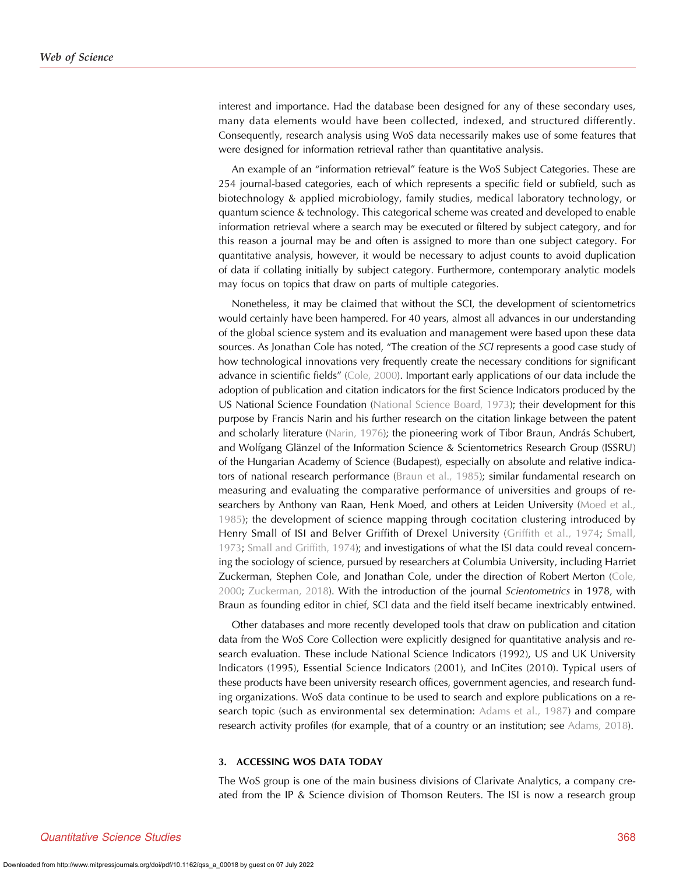interest and importance. Had the database been designed for any of these secondary uses, many data elements would have been collected, indexed, and structured differently. Consequently, research analysis using WoS data necessarily makes use of some features that were designed for information retrieval rather than quantitative analysis.

An example of an "information retrieval" feature is the WoS Subject Categories. These are 254 journal-based categories, each of which represents a specific field or subfield, such as biotechnology & applied microbiology, family studies, medical laboratory technology, or quantum science & technology. This categorical scheme was created and developed to enable information retrieval where a search may be executed or filtered by subject category, and for this reason a journal may be and often is assigned to more than one subject category. For quantitative analysis, however, it would be necessary to adjust counts to avoid duplication of data if collating initially by subject category. Furthermore, contemporary analytic models may focus on topics that draw on parts of multiple categories.

Nonetheless, it may be claimed that without the SCI, the development of scientometrics would certainly have been hampered. For 40 years, almost all advances in our understanding of the global science system and its evaluation and management were based upon these data sources. As Jonathan Cole has noted, "The creation of the SCI represents a good case study of how technological innovations very frequently create the necessary conditions for significant advance in scientific fields" ([Cole, 2000\)](#page-12-0). Important early applications of our data include the adoption of publication and citation indicators for the first Science Indicators produced by the US National Science Foundation [\(National Science Board, 1973\)](#page-13-0); their development for this purpose by Francis Narin and his further research on the citation linkage between the patent and scholarly literature ([Narin, 1976](#page-13-0)); the pioneering work of Tibor Braun, András Schubert, and Wolfgang Glänzel of the Information Science & Scientometrics Research Group (ISSRU) of the Hungarian Academy of Science (Budapest), especially on absolute and relative indicators of national research performance ([Braun et al., 1985](#page-12-0)); similar fundamental research on measuring and evaluating the comparative performance of universities and groups of re-searchers by Anthony van Raan, Henk Moed, and others at Leiden University ([Moed et al.,](#page-13-0) [1985\)](#page-13-0); the development of science mapping through cocitation clustering introduced by Henry Small of ISI and Belver Griffith of Drexel University ([Griffith et al., 1974](#page-13-0); [Small,](#page-13-0) [1973;](#page-13-0) [Small and Griffith, 1974](#page-13-0)); and investigations of what the ISI data could reveal concerning the sociology of science, pursued by researchers at Columbia University, including Harriet Zuckerman, Stephen Cole, and Jonathan Cole, under the direction of Robert Merton [\(Cole,](#page-12-0) [2000;](#page-12-0) [Zuckerman, 2018\)](#page-13-0). With the introduction of the journal Scientometrics in 1978, with Braun as founding editor in chief, SCI data and the field itself became inextricably entwined.

Other databases and more recently developed tools that draw on publication and citation data from the WoS Core Collection were explicitly designed for quantitative analysis and research evaluation. These include National Science Indicators (1992), US and UK University Indicators (1995), Essential Science Indicators (2001), and InCites (2010). Typical users of these products have been university research offices, government agencies, and research funding organizations. WoS data continue to be used to search and explore publications on a research topic (such as environmental sex determination: [Adams et al., 1987\)](#page-12-0) and compare research activity profiles (for example, that of a country or an institution; see [Adams, 2018\)](#page-12-0).

## 3. ACCESSING WOS DATA TODAY

The WoS group is one of the main business divisions of Clarivate Analytics, a company created from the IP & Science division of Thomson Reuters. The ISI is now a research group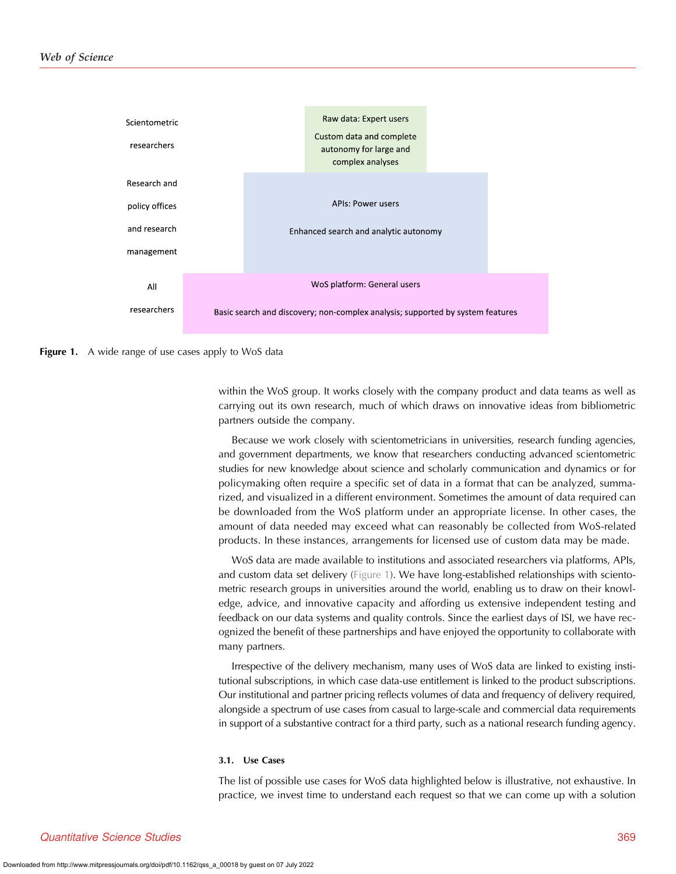

Figure 1. A wide range of use cases apply to WoS data

within the WoS group. It works closely with the company product and data teams as well as carrying out its own research, much of which draws on innovative ideas from bibliometric partners outside the company.

Because we work closely with scientometricians in universities, research funding agencies, and government departments, we know that researchers conducting advanced scientometric studies for new knowledge about science and scholarly communication and dynamics or for policymaking often require a specific set of data in a format that can be analyzed, summarized, and visualized in a different environment. Sometimes the amount of data required can be downloaded from the WoS platform under an appropriate license. In other cases, the amount of data needed may exceed what can reasonably be collected from WoS-related products. In these instances, arrangements for licensed use of custom data may be made.

WoS data are made available to institutions and associated researchers via platforms, APIs, and custom data set delivery (Figure 1). We have long-established relationships with scientometric research groups in universities around the world, enabling us to draw on their knowledge, advice, and innovative capacity and affording us extensive independent testing and feedback on our data systems and quality controls. Since the earliest days of ISI, we have recognized the benefit of these partnerships and have enjoyed the opportunity to collaborate with many partners.

Irrespective of the delivery mechanism, many uses of WoS data are linked to existing institutional subscriptions, in which case data-use entitlement is linked to the product subscriptions. Our institutional and partner pricing reflects volumes of data and frequency of delivery required, alongside a spectrum of use cases from casual to large-scale and commercial data requirements in support of a substantive contract for a third party, such as a national research funding agency.

#### 3.1. Use Cases

The list of possible use cases for WoS data highlighted below is illustrative, not exhaustive. In practice, we invest time to understand each request so that we can come up with a solution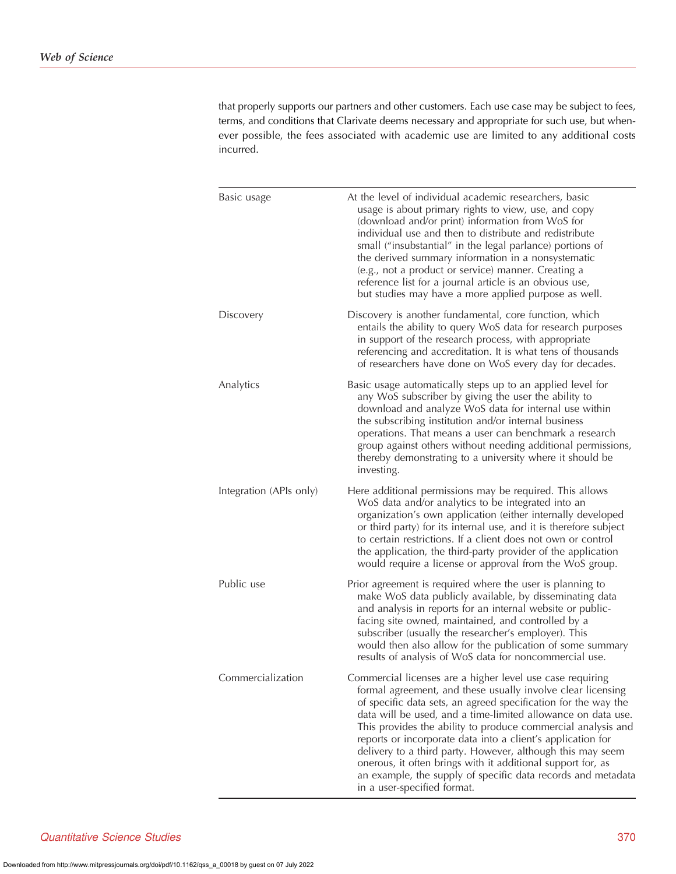that properly supports our partners and other customers. Each use case may be subject to fees, terms, and conditions that Clarivate deems necessary and appropriate for such use, but whenever possible, the fees associated with academic use are limited to any additional costs incurred.

| Basic usage             | At the level of individual academic researchers, basic<br>usage is about primary rights to view, use, and copy<br>(download and/or print) information from WoS for<br>individual use and then to distribute and redistribute<br>small ("insubstantial" in the legal parlance) portions of<br>the derived summary information in a nonsystematic<br>(e.g., not a product or service) manner. Creating a<br>reference list for a journal article is an obvious use,<br>but studies may have a more applied purpose as well.                                                                                             |
|-------------------------|-----------------------------------------------------------------------------------------------------------------------------------------------------------------------------------------------------------------------------------------------------------------------------------------------------------------------------------------------------------------------------------------------------------------------------------------------------------------------------------------------------------------------------------------------------------------------------------------------------------------------|
| Discovery               | Discovery is another fundamental, core function, which<br>entails the ability to query WoS data for research purposes<br>in support of the research process, with appropriate<br>referencing and accreditation. It is what tens of thousands<br>of researchers have done on WoS every day for decades.                                                                                                                                                                                                                                                                                                                |
| Analytics               | Basic usage automatically steps up to an applied level for<br>any WoS subscriber by giving the user the ability to<br>download and analyze WoS data for internal use within<br>the subscribing institution and/or internal business<br>operations. That means a user can benchmark a research<br>group against others without needing additional permissions,<br>thereby demonstrating to a university where it should be<br>investing.                                                                                                                                                                               |
| Integration (APIs only) | Here additional permissions may be required. This allows<br>WoS data and/or analytics to be integrated into an<br>organization's own application (either internally developed<br>or third party) for its internal use, and it is therefore subject<br>to certain restrictions. If a client does not own or control<br>the application, the third-party provider of the application<br>would require a license or approval from the WoS group.                                                                                                                                                                         |
| Public use              | Prior agreement is required where the user is planning to<br>make WoS data publicly available, by disseminating data<br>and analysis in reports for an internal website or public-<br>facing site owned, maintained, and controlled by a<br>subscriber (usually the researcher's employer). This<br>would then also allow for the publication of some summary<br>results of analysis of WoS data for noncommercial use.                                                                                                                                                                                               |
| Commercialization       | Commercial licenses are a higher level use case requiring<br>formal agreement, and these usually involve clear licensing<br>of specific data sets, an agreed specification for the way the<br>data will be used, and a time-limited allowance on data use.<br>This provides the ability to produce commercial analysis and<br>reports or incorporate data into a client's application for<br>delivery to a third party. However, although this may seem<br>onerous, it often brings with it additional support for, as<br>an example, the supply of specific data records and metadata<br>in a user-specified format. |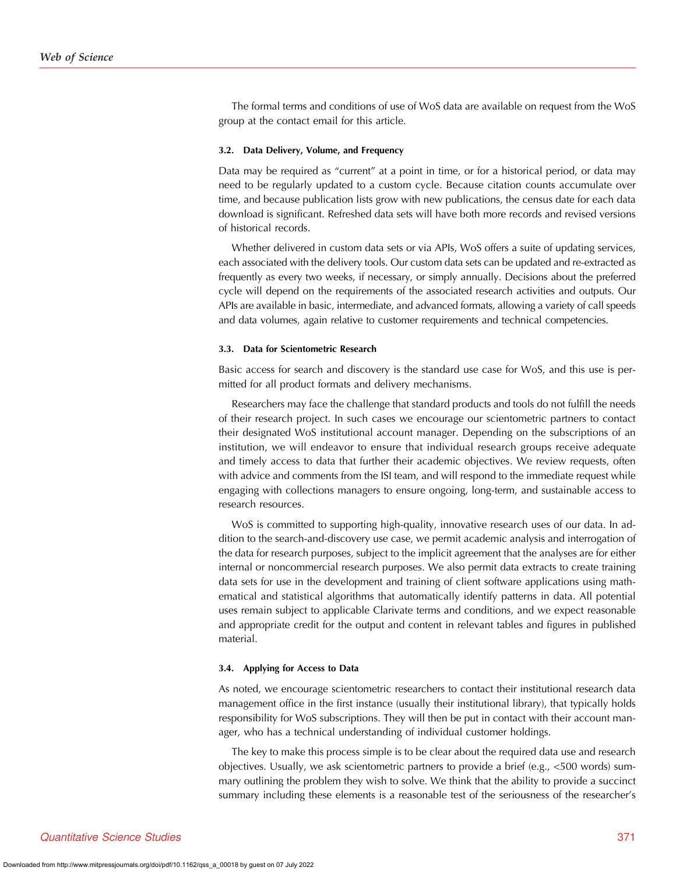The formal terms and conditions of use of WoS data are available on request from the WoS group at the contact email for this article.

#### 3.2. Data Delivery, Volume, and Frequency

Data may be required as "current" at a point in time, or for a historical period, or data may need to be regularly updated to a custom cycle. Because citation counts accumulate over time, and because publication lists grow with new publications, the census date for each data download is significant. Refreshed data sets will have both more records and revised versions of historical records.

Whether delivered in custom data sets or via APIs, WoS offers a suite of updating services, each associated with the delivery tools. Our custom data sets can be updated and re-extracted as frequently as every two weeks, if necessary, or simply annually. Decisions about the preferred cycle will depend on the requirements of the associated research activities and outputs. Our APIs are available in basic, intermediate, and advanced formats, allowing a variety of call speeds and data volumes, again relative to customer requirements and technical competencies.

#### 3.3. Data for Scientometric Research

Basic access for search and discovery is the standard use case for WoS, and this use is permitted for all product formats and delivery mechanisms.

Researchers may face the challenge that standard products and tools do not fulfill the needs of their research project. In such cases we encourage our scientometric partners to contact their designated WoS institutional account manager. Depending on the subscriptions of an institution, we will endeavor to ensure that individual research groups receive adequate and timely access to data that further their academic objectives. We review requests, often with advice and comments from the ISI team, and will respond to the immediate request while engaging with collections managers to ensure ongoing, long-term, and sustainable access to research resources.

WoS is committed to supporting high-quality, innovative research uses of our data. In addition to the search-and-discovery use case, we permit academic analysis and interrogation of the data for research purposes, subject to the implicit agreement that the analyses are for either internal or noncommercial research purposes. We also permit data extracts to create training data sets for use in the development and training of client software applications using mathematical and statistical algorithms that automatically identify patterns in data. All potential uses remain subject to applicable Clarivate terms and conditions, and we expect reasonable and appropriate credit for the output and content in relevant tables and figures in published material.

#### 3.4. Applying for Access to Data

As noted, we encourage scientometric researchers to contact their institutional research data management office in the first instance (usually their institutional library), that typically holds responsibility for WoS subscriptions. They will then be put in contact with their account manager, who has a technical understanding of individual customer holdings.

The key to make this process simple is to be clear about the required data use and research objectives. Usually, we ask scientometric partners to provide a brief (e.g., <500 words) summary outlining the problem they wish to solve. We think that the ability to provide a succinct summary including these elements is a reasonable test of the seriousness of the researcher's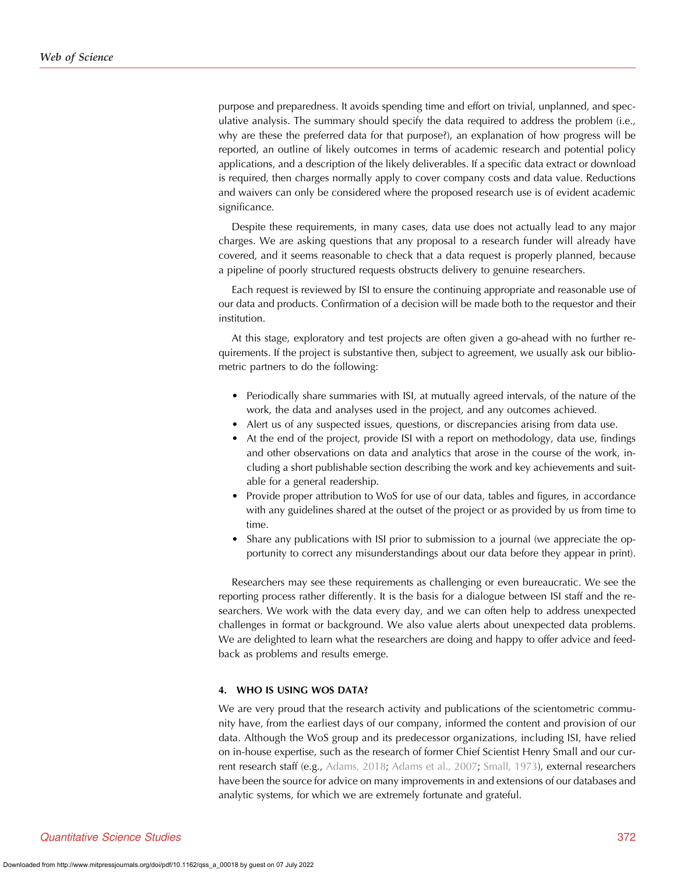purpose and preparedness. It avoids spending time and effort on trivial, unplanned, and speculative analysis. The summary should specify the data required to address the problem (i.e., why are these the preferred data for that purpose?), an explanation of how progress will be reported, an outline of likely outcomes in terms of academic research and potential policy applications, and a description of the likely deliverables. If a specific data extract or download is required, then charges normally apply to cover company costs and data value. Reductions and waivers can only be considered where the proposed research use is of evident academic significance.

Despite these requirements, in many cases, data use does not actually lead to any major charges. We are asking questions that any proposal to a research funder will already have covered, and it seems reasonable to check that a data request is properly planned, because a pipeline of poorly structured requests obstructs delivery to genuine researchers.

Each request is reviewed by ISI to ensure the continuing appropriate and reasonable use of our data and products. Confirmation of a decision will be made both to the requestor and their institution.

At this stage, exploratory and test projects are often given a go-ahead with no further requirements. If the project is substantive then, subject to agreement, we usually ask our bibliometric partners to do the following:

- Periodically share summaries with ISI, at mutually agreed intervals, of the nature of the work, the data and analyses used in the project, and any outcomes achieved.
- Alert us of any suspected issues, questions, or discrepancies arising from data use.
- At the end of the project, provide ISI with a report on methodology, data use, findings and other observations on data and analytics that arose in the course of the work, including a short publishable section describing the work and key achievements and suitable for a general readership.
- Provide proper attribution to WoS for use of our data, tables and figures, in accordance with any guidelines shared at the outset of the project or as provided by us from time to time.
- Share any publications with ISI prior to submission to a journal (we appreciate the opportunity to correct any misunderstandings about our data before they appear in print).

Researchers may see these requirements as challenging or even bureaucratic. We see the reporting process rather differently. It is the basis for a dialogue between ISI staff and the researchers. We work with the data every day, and we can often help to address unexpected challenges in format or background. We also value alerts about unexpected data problems. We are delighted to learn what the researchers are doing and happy to offer advice and feedback as problems and results emerge.

## 4. WHO IS USING WOS DATA?

We are very proud that the research activity and publications of the scientometric community have, from the earliest days of our company, informed the content and provision of our data. Although the WoS group and its predecessor organizations, including ISI, have relied on in-house expertise, such as the research of former Chief Scientist Henry Small and our cur-rent research staff (e.g., [Adams, 2018;](#page-12-0) [Adams et al., 2007;](#page-12-0) [Small, 1973](#page-13-0)), external researchers have been the source for advice on many improvements in and extensions of our databases and analytic systems, for which we are extremely fortunate and grateful.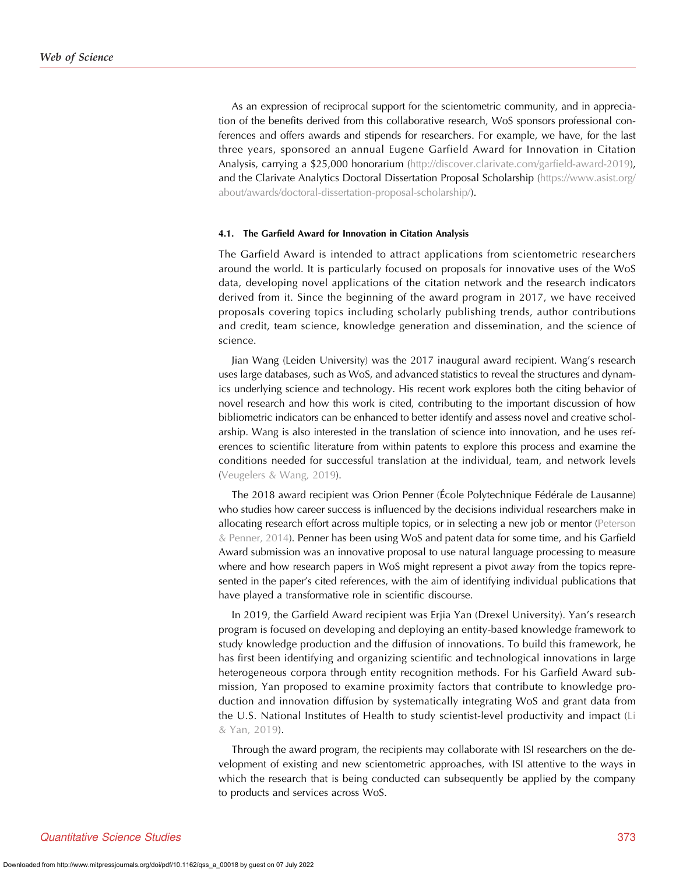As an expression of reciprocal support for the scientometric community, and in appreciation of the benefits derived from this collaborative research, WoS sponsors professional conferences and offers awards and stipends for researchers. For example, we have, for the last three years, sponsored an annual Eugene Garfield Award for Innovation in Citation Analysis, carrying a \$25,000 honorarium ([http://discover.clarivate.com/garfield-award-2019\)](http://discover.clarivate.com/garfield-award-2019), and the Clarivate Analytics Doctoral Dissertation Proposal Scholarship [\(https://www.asist.org/](https://www.asist.org/about/awards/doctoral-dissertation-proposal-scholarship/) [about/awards/doctoral-dissertation-proposal-scholarship/](https://www.asist.org/about/awards/doctoral-dissertation-proposal-scholarship/)).

## 4.1. The Garfield Award for Innovation in Citation Analysis

The Garfield Award is intended to attract applications from scientometric researchers around the world. It is particularly focused on proposals for innovative uses of the WoS data, developing novel applications of the citation network and the research indicators derived from it. Since the beginning of the award program in 2017, we have received proposals covering topics including scholarly publishing trends, author contributions and credit, team science, knowledge generation and dissemination, and the science of science.

Jian Wang (Leiden University) was the 2017 inaugural award recipient. Wang's research uses large databases, such as WoS, and advanced statistics to reveal the structures and dynamics underlying science and technology. His recent work explores both the citing behavior of novel research and how this work is cited, contributing to the important discussion of how bibliometric indicators can be enhanced to better identify and assess novel and creative scholarship. Wang is also interested in the translation of science into innovation, and he uses references to scientific literature from within patents to explore this process and examine the conditions needed for successful translation at the individual, team, and network levels ([Veugelers & Wang, 2019](#page-13-0)).

The 2018 award recipient was Orion Penner (École Polytechnique Fédérale de Lausanne) who studies how career success is influenced by the decisions individual researchers make in allocating research effort across multiple topics, or in selecting a new job or mentor ([Peterson](#page-13-0) [& Penner, 2014\)](#page-13-0). Penner has been using WoS and patent data for some time, and his Garfield Award submission was an innovative proposal to use natural language processing to measure where and how research papers in WoS might represent a pivot *away* from the topics represented in the paper's cited references, with the aim of identifying individual publications that have played a transformative role in scientific discourse.

In 2019, the Garfield Award recipient was Erjia Yan (Drexel University). Yan's research program is focused on developing and deploying an entity-based knowledge framework to study knowledge production and the diffusion of innovations. To build this framework, he has first been identifying and organizing scientific and technological innovations in large heterogeneous corpora through entity recognition methods. For his Garfield Award submission, Yan proposed to examine proximity factors that contribute to knowledge production and innovation diffusion by systematically integrating WoS and grant data from the U.S. National Institutes of Health to study scientist-level productivity and impact [\(Li](#page-13-0) [& Yan, 2019\)](#page-13-0).

Through the award program, the recipients may collaborate with ISI researchers on the development of existing and new scientometric approaches, with ISI attentive to the ways in which the research that is being conducted can subsequently be applied by the company to products and services across WoS.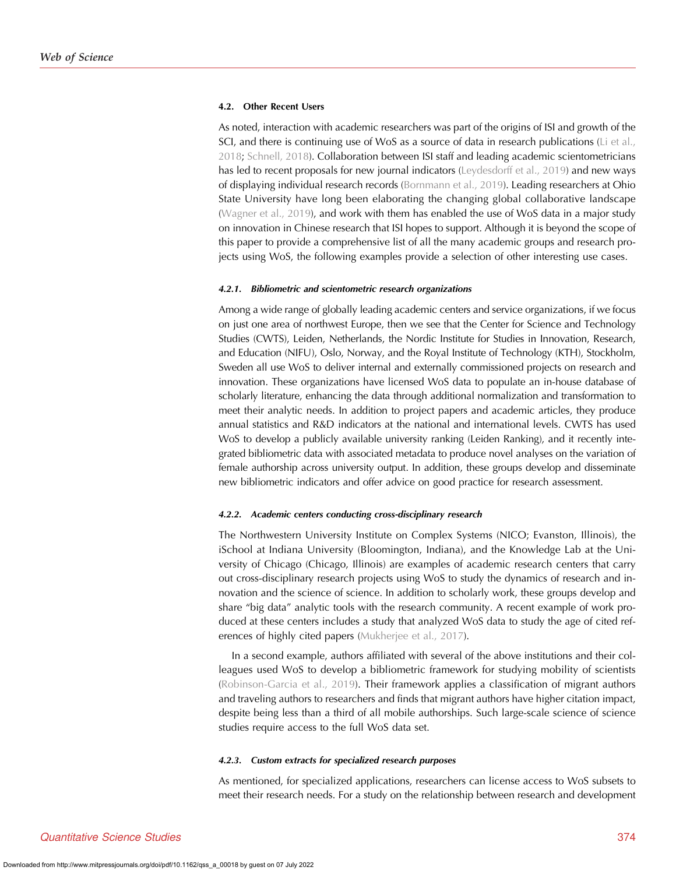#### 4.2. Other Recent Users

As noted, interaction with academic researchers was part of the origins of ISI and growth of the SCI, and there is continuing use of WoS as a source of data in research publications [\(Li et al.,](#page-13-0) [2018;](#page-13-0) [Schnell, 2018\)](#page-13-0). Collaboration between ISI staff and leading academic scientometricians has led to recent proposals for new journal indicators ([Leydesdorff et al., 2019\)](#page-13-0) and new ways of displaying individual research records ([Bornmann et al., 2019\)](#page-12-0). Leading researchers at Ohio State University have long been elaborating the changing global collaborative landscape ([Wagner et al., 2019\)](#page-13-0), and work with them has enabled the use of WoS data in a major study on innovation in Chinese research that ISI hopes to support. Although it is beyond the scope of this paper to provide a comprehensive list of all the many academic groups and research projects using WoS, the following examples provide a selection of other interesting use cases.

#### 4.2.1. Bibliometric and scientometric research organizations

Among a wide range of globally leading academic centers and service organizations, if we focus on just one area of northwest Europe, then we see that the Center for Science and Technology Studies (CWTS), Leiden, Netherlands, the Nordic Institute for Studies in Innovation, Research, and Education (NIFU), Oslo, Norway, and the Royal Institute of Technology (KTH), Stockholm, Sweden all use WoS to deliver internal and externally commissioned projects on research and innovation. These organizations have licensed WoS data to populate an in-house database of scholarly literature, enhancing the data through additional normalization and transformation to meet their analytic needs. In addition to project papers and academic articles, they produce annual statistics and R&D indicators at the national and international levels. CWTS has used WoS to develop a publicly available university ranking (Leiden Ranking), and it recently integrated bibliometric data with associated metadata to produce novel analyses on the variation of female authorship across university output. In addition, these groups develop and disseminate new bibliometric indicators and offer advice on good practice for research assessment.

#### 4.2.2. Academic centers conducting cross-disciplinary research

The Northwestern University Institute on Complex Systems (NICO; Evanston, Illinois), the iSchool at Indiana University (Bloomington, Indiana), and the Knowledge Lab at the University of Chicago (Chicago, Illinois) are examples of academic research centers that carry out cross-disciplinary research projects using WoS to study the dynamics of research and innovation and the science of science. In addition to scholarly work, these groups develop and share "big data" analytic tools with the research community. A recent example of work produced at these centers includes a study that analyzed WoS data to study the age of cited ref-erences of highly cited papers ([Mukherjee et al., 2017](#page-13-0)).

In a second example, authors affiliated with several of the above institutions and their colleagues used WoS to develop a bibliometric framework for studying mobility of scientists ([Robinson-Garcia et al., 2019\)](#page-13-0). Their framework applies a classification of migrant authors and traveling authors to researchers and finds that migrant authors have higher citation impact, despite being less than a third of all mobile authorships. Such large-scale science of science studies require access to the full WoS data set.

#### 4.2.3. Custom extracts for specialized research purposes

As mentioned, for specialized applications, researchers can license access to WoS subsets to meet their research needs. For a study on the relationship between research and development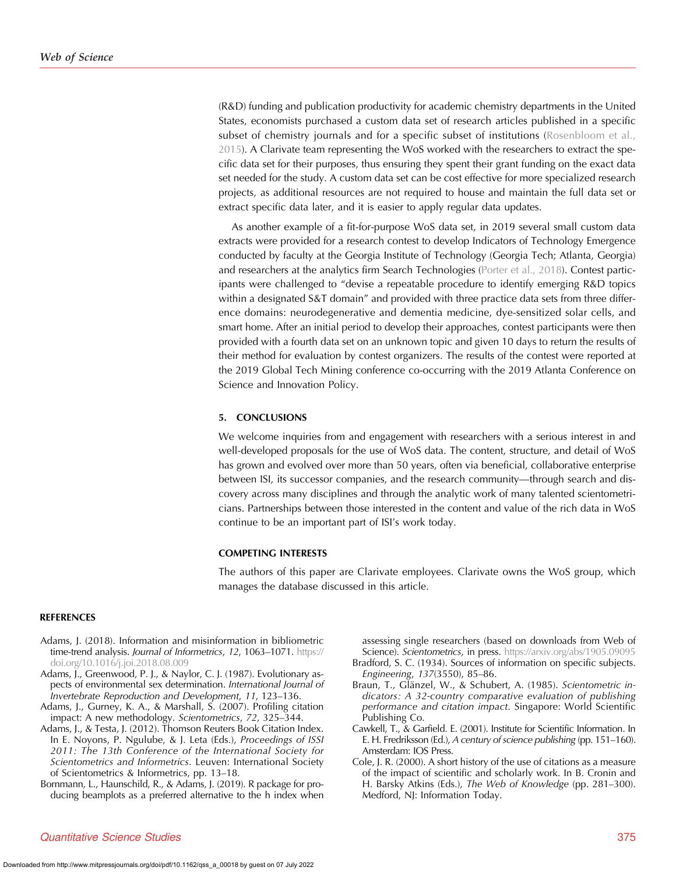<span id="page-12-0"></span>(R&D) funding and publication productivity for academic chemistry departments in the United States, economists purchased a custom data set of research articles published in a specific subset of chemistry journals and for a specific subset of institutions [\(Rosenbloom et al.,](#page-13-0) [2015\)](#page-13-0). A Clarivate team representing the WoS worked with the researchers to extract the specific data set for their purposes, thus ensuring they spent their grant funding on the exact data set needed for the study. A custom data set can be cost effective for more specialized research projects, as additional resources are not required to house and maintain the full data set or extract specific data later, and it is easier to apply regular data updates.

As another example of a fit-for-purpose WoS data set, in 2019 several small custom data extracts were provided for a research contest to develop Indicators of Technology Emergence conducted by faculty at the Georgia Institute of Technology (Georgia Tech; Atlanta, Georgia) and researchers at the analytics firm Search Technologies [\(Porter et al., 2018\)](#page-13-0). Contest participants were challenged to "devise a repeatable procedure to identify emerging R&D topics within a designated S&T domain" and provided with three practice data sets from three difference domains: neurodegenerative and dementia medicine, dye-sensitized solar cells, and smart home. After an initial period to develop their approaches, contest participants were then provided with a fourth data set on an unknown topic and given 10 days to return the results of their method for evaluation by contest organizers. The results of the contest were reported at the 2019 Global Tech Mining conference co-occurring with the 2019 Atlanta Conference on Science and Innovation Policy.

# 5. CONCLUSIONS

We welcome inquiries from and engagement with researchers with a serious interest in and well-developed proposals for the use of WoS data. The content, structure, and detail of WoS has grown and evolved over more than 50 years, often via beneficial, collaborative enterprise between ISI, its successor companies, and the research community—through search and discovery across many disciplines and through the analytic work of many talented scientometricians. Partnerships between those interested in the content and value of the rich data in WoS continue to be an important part of ISI's work today.

## COMPETING INTERESTS

The authors of this paper are Clarivate employees. Clarivate owns the WoS group, which manages the database discussed in this article.

#### **REFERENCES**

- Adams, J. (2018). Information and misinformation in bibliometric time-trend analysis. Journal of Informetrics, 12, 1063-1071. [https://](https://doi.org/10.1016/j.joi.2018.08.009) [doi.org/10.1016/j.joi.2018.08.009](https://doi.org/10.1016/j.joi.2018.08.009)
- Adams, J., Greenwood, P. J., & Naylor, C. J. (1987). Evolutionary aspects of environmental sex determination. International Journal of Invertebrate Reproduction and Development, 11, 123–136.
- Adams, J., Gurney, K. A., & Marshall, S. (2007). Profiling citation impact: A new methodology. Scientometrics, 72, 325–344.
- Adams, J., & Testa, J. (2012). Thomson Reuters Book Citation Index. In E. Noyons, P. Ngulube, & J. Leta (Eds.), Proceedings of ISSI 2011: The 13th Conference of the International Society for Scientometrics and Informetrics. Leuven: International Society of Scientometrics & Informetrics, pp. 13–18.
- Bornmann, L., Haunschild, R., & Adams, J. (2019). R package for producing beamplots as a preferred alternative to the h index when

assessing single researchers (based on downloads from Web of Science). Scientometrics, in press. <https://arxiv.org/abs/1905.09095> Bradford, S. C. (1934). Sources of information on specific subjects. Engineering, 137(3550), 85–86.

- Braun, T., Glänzel, W., & Schubert, A. (1985). Scientometric indicators: A 32-country comparative evaluation of publishing performance and citation impact. Singapore: World Scientific Publishing Co.
- Cawkell, T., & Garfield. E. (2001). Institute for Scientific Information. In E. H. Fredriksson (Ed.), A century of science publishing (pp. 151–160). Amsterdam: IOS Press.
- Cole, J. R. (2000). A short history of the use of citations as a measure of the impact of scientific and scholarly work. In B. Cronin and H. Barsky Atkins (Eds.), The Web of Knowledge (pp. 281–300). Medford, NJ: Information Today.